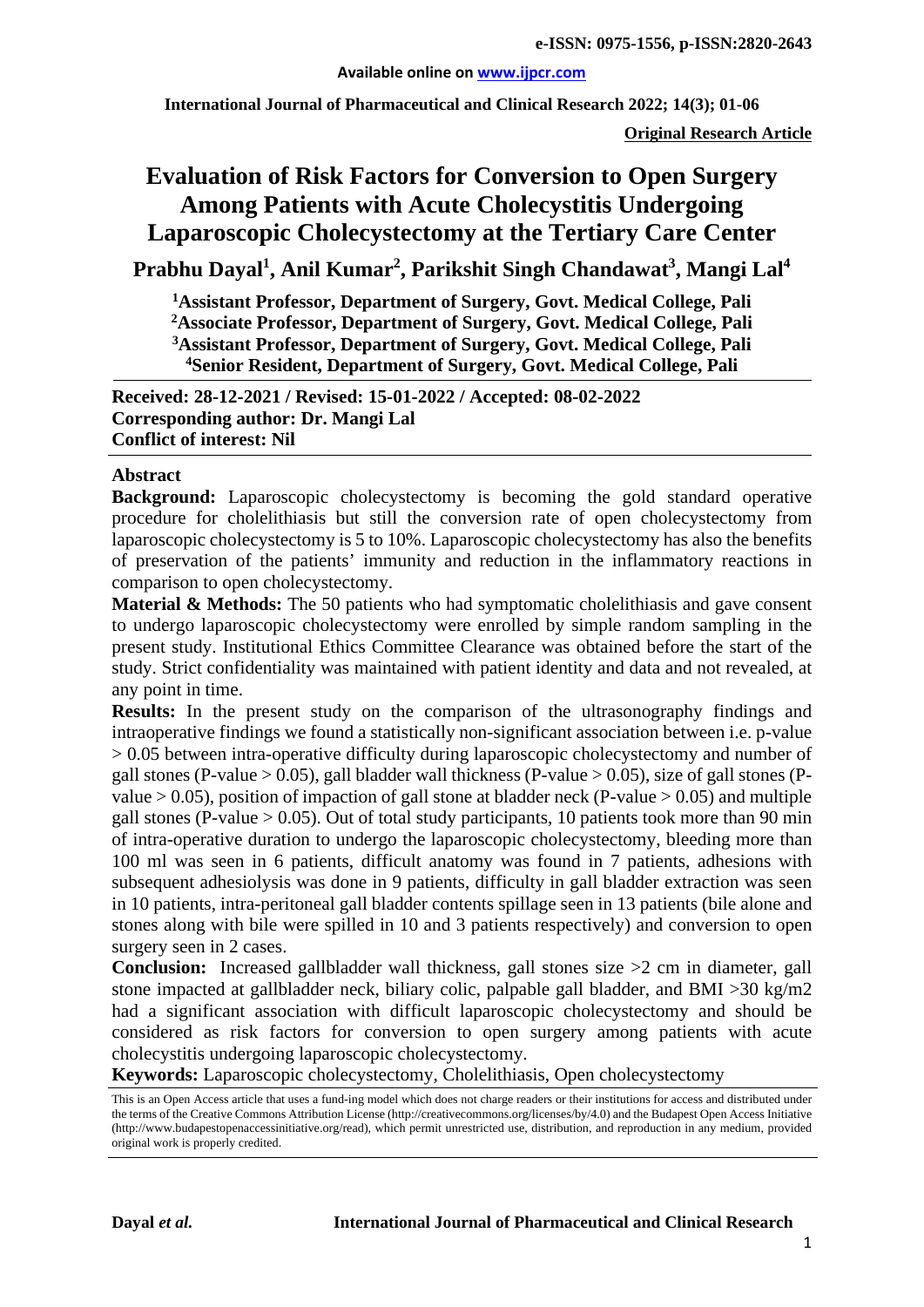#### **Available online on [www.ijpcr.com](http://www.ijpcr.com/)**

**International Journal of Pharmaceutical and Clinical Research 2022; 14(3); 01-06**

**Original Research Article**

# **Evaluation of Risk Factors for Conversion to Open Surgery Among Patients with Acute Cholecystitis Undergoing Laparoscopic Cholecystectomy at the Tertiary Care Center**

**Prabhu Dayal1 , Anil Kumar2 , Parikshit Singh Chandawat3 , Mangi Lal4**

**1 Assistant Professor, Department of Surgery, Govt. Medical College, Pali 2 Associate Professor, Department of Surgery, Govt. Medical College, Pali 3Assistant Professor, Department of Surgery, Govt. Medical College, Pali 4Senior Resident, Department of Surgery, Govt. Medical College, Pali**

**Received: 28-12-2021 / Revised: 15-01-2022 / Accepted: 08-02-2022 Corresponding author: Dr. Mangi Lal Conflict of interest: Nil**

#### **Abstract**

**Background:** Laparoscopic cholecystectomy is becoming the gold standard operative procedure for cholelithiasis but still the conversion rate of open cholecystectomy from laparoscopic cholecystectomy is 5 to 10%. Laparoscopic cholecystectomy has also the benefits of preservation of the patients' immunity and reduction in the inflammatory reactions in comparison to open cholecystectomy.

**Material & Methods:** The 50 patients who had symptomatic cholelithiasis and gave consent to undergo laparoscopic cholecystectomy were enrolled by simple random sampling in the present study. Institutional Ethics Committee Clearance was obtained before the start of the study. Strict confidentiality was maintained with patient identity and data and not revealed, at any point in time.

**Results:** In the present study on the comparison of the ultrasonography findings and intraoperative findings we found a statistically non-significant association between i.e. p-value > 0.05 between intra-operative difficulty during laparoscopic cholecystectomy and number of gall stones (P-value > 0.05), gall bladder wall thickness (P-value > 0.05), size of gall stones (Pvalue  $> 0.05$ ), position of impaction of gall stone at bladder neck (P-value  $> 0.05$ ) and multiple gall stones (P-value  $> 0.05$ ). Out of total study participants, 10 patients took more than 90 min of intra-operative duration to undergo the laparoscopic cholecystectomy, bleeding more than 100 ml was seen in 6 patients, difficult anatomy was found in 7 patients, adhesions with subsequent adhesiolysis was done in 9 patients, difficulty in gall bladder extraction was seen in 10 patients, intra-peritoneal gall bladder contents spillage seen in 13 patients (bile alone and stones along with bile were spilled in 10 and 3 patients respectively) and conversion to open surgery seen in 2 cases.

**Conclusion:** Increased gallbladder wall thickness, gall stones size >2 cm in diameter, gall stone impacted at gallbladder neck, biliary colic, palpable gall bladder, and BMI >30 kg/m2 had a significant association with difficult laparoscopic cholecystectomy and should be considered as risk factors for conversion to open surgery among patients with acute cholecystitis undergoing laparoscopic cholecystectomy.

**Keywords:** Laparoscopic cholecystectomy, Cholelithiasis, Open cholecystectomy

This is an Open Access article that uses a fund-ing model which does not charge readers or their institutions for access and distributed under the terms of the Creative Commons Attribution License (http://creativecommons.org/licenses/by/4.0) and the Budapest Open Access Initiative (http://www.budapestopenaccessinitiative.org/read), which permit unrestricted use, distribution, and reproduction in any medium, provided original work is properly credited.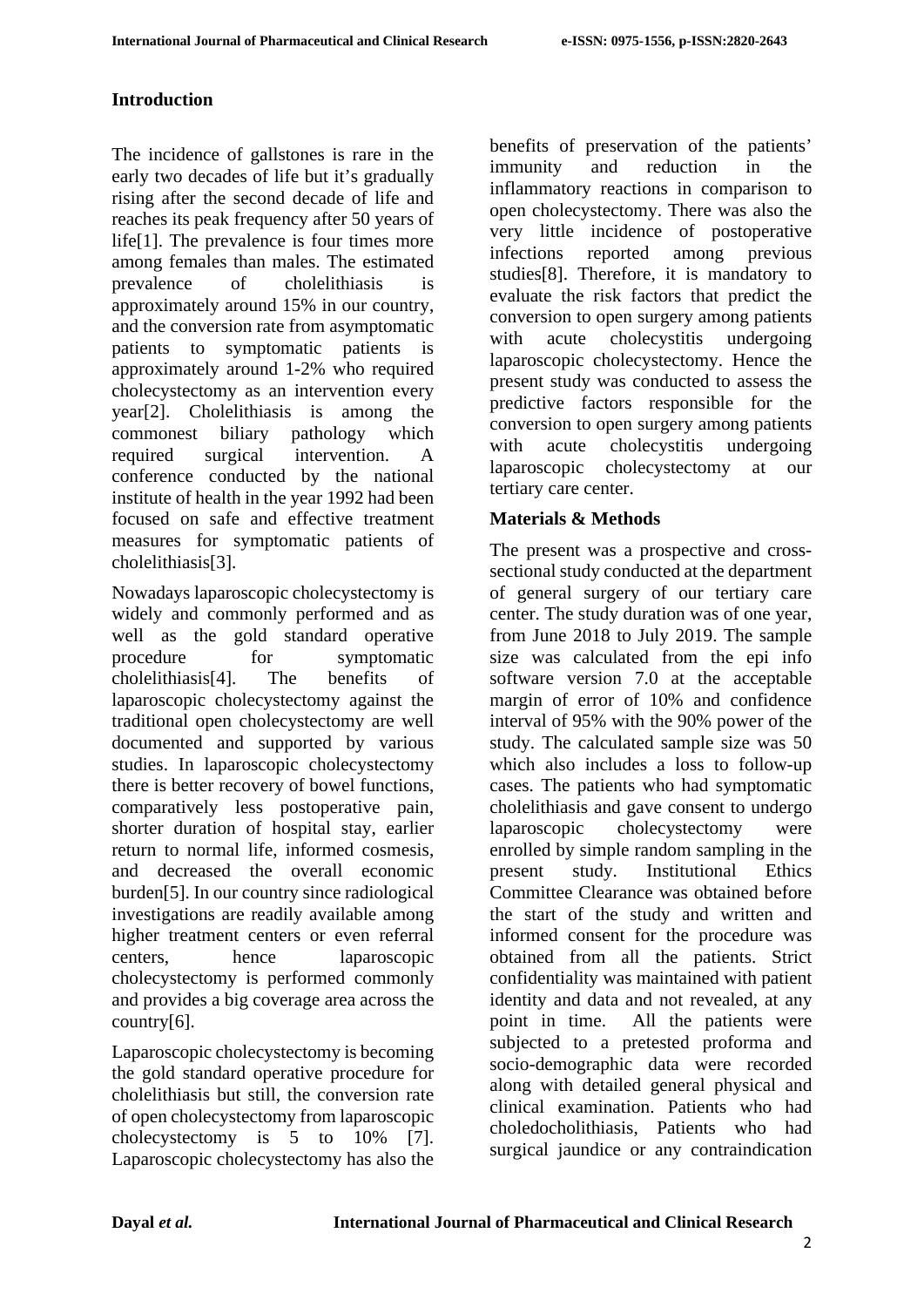## **Introduction**

The incidence of gallstones is rare in the early two decades of life but it's gradually rising after the second decade of life and reaches its peak frequency after 50 years of life[1]. The prevalence is four times more among females than males. The estimated prevalence of cholelithiasis is approximately around 15% in our country, and the conversion rate from asymptomatic patients to symptomatic patients is approximately around 1-2% who required cholecystectomy as an intervention every year[2]. Cholelithiasis is among the commonest biliary pathology which required surgical intervention. A conference conducted by the national institute of health in the year 1992 had been focused on safe and effective treatment measures for symptomatic patients of cholelithiasis[3].

Nowadays laparoscopic cholecystectomy is widely and commonly performed and as well as the gold standard operative procedure for symptomatic cholelithiasis[4]. The benefits of laparoscopic cholecystectomy against the traditional open cholecystectomy are well documented and supported by various studies. In laparoscopic cholecystectomy there is better recovery of bowel functions, comparatively less postoperative pain, shorter duration of hospital stay, earlier return to normal life, informed cosmesis, and decreased the overall economic burden[5]. In our country since radiological investigations are readily available among higher treatment centers or even referral centers, hence laparoscopic cholecystectomy is performed commonly and provides a big coverage area across the country[6].

Laparoscopic cholecystectomy is becoming the gold standard operative procedure for cholelithiasis but still, the conversion rate of open cholecystectomy from laparoscopic cholecystectomy is 5 to 10% [7]. Laparoscopic cholecystectomy has also the

benefits of preservation of the patients' immunity and reduction in the inflammatory reactions in comparison to open cholecystectomy. There was also the very little incidence of postoperative infections reported among previous studies[8]. Therefore, it is mandatory to evaluate the risk factors that predict the conversion to open surgery among patients with acute cholecystitis undergoing laparoscopic cholecystectomy. Hence the present study was conducted to assess the predictive factors responsible for the conversion to open surgery among patients with acute cholecystitis undergoing laparoscopic cholecystectomy at our tertiary care center.

### **Materials & Methods**

The present was a prospective and crosssectional study conducted at the department of general surgery of our tertiary care center. The study duration was of one year, from June 2018 to July 2019. The sample size was calculated from the epi info software version 7.0 at the acceptable margin of error of 10% and confidence interval of 95% with the 90% power of the study. The calculated sample size was 50 which also includes a loss to follow-up cases. The patients who had symptomatic cholelithiasis and gave consent to undergo laparoscopic cholecystectomy were enrolled by simple random sampling in the present study. Institutional Ethics Committee Clearance was obtained before the start of the study and written and informed consent for the procedure was obtained from all the patients. Strict confidentiality was maintained with patient identity and data and not revealed, at any point in time. All the patients were subjected to a pretested proforma and socio-demographic data were recorded along with detailed general physical and clinical examination. Patients who had choledocholithiasis, Patients who had surgical jaundice or any contraindication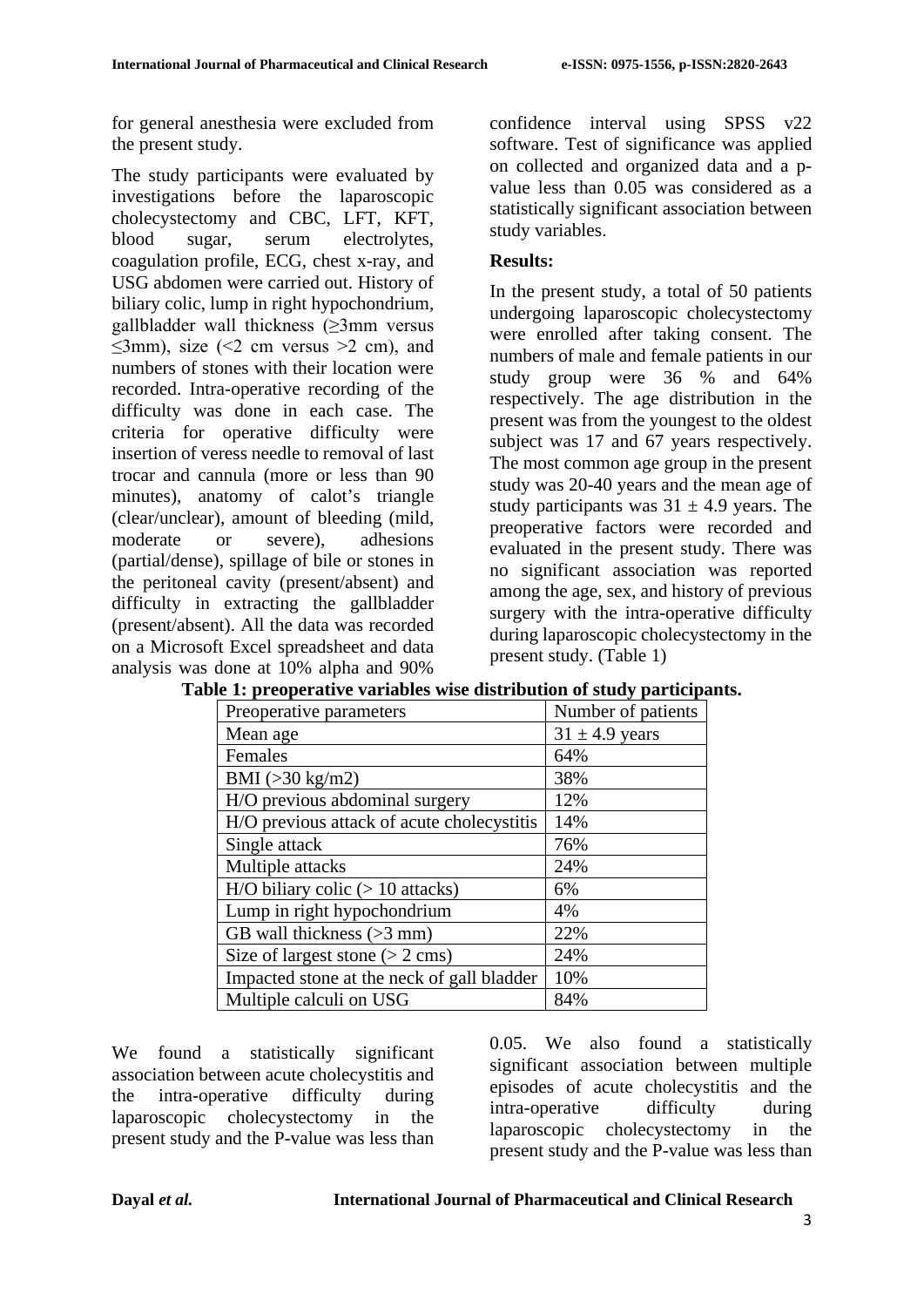for general anesthesia were excluded from the present study.

The study participants were evaluated by investigations before the laparoscopic cholecystectomy and CBC, LFT, KFT, blood sugar, serum electrolytes, coagulation profile, ECG, chest x-ray, and USG abdomen were carried out. History of biliary colic, lump in right hypochondrium, gallbladder wall thickness (≥3mm versus  $\leq$ 3mm), size ( $\leq$ 2 cm versus  $\geq$ 2 cm), and numbers of stones with their location were recorded. Intra-operative recording of the difficulty was done in each case. The criteria for operative difficulty were insertion of veress needle to removal of last trocar and cannula (more or less than 90 minutes), anatomy of calot's triangle (clear/unclear), amount of bleeding (mild, moderate or severe), adhesions (partial/dense), spillage of bile or stones in the peritoneal cavity (present/absent) and difficulty in extracting the gallbladder (present/absent). All the data was recorded on a Microsoft Excel spreadsheet and data analysis was done at 10% alpha and 90%

confidence interval using SPSS v22 software. Test of significance was applied on collected and organized data and a pvalue less than 0.05 was considered as a statistically significant association between study variables.

## **Results:**

In the present study, a total of 50 patients undergoing laparoscopic cholecystectomy were enrolled after taking consent. The numbers of male and female patients in our study group were 36 % and 64% respectively. The age distribution in the present was from the youngest to the oldest subject was 17 and 67 years respectively. The most common age group in the present study was 20-40 years and the mean age of study participants was  $31 \pm 4.9$  years. The preoperative factors were recorded and evaluated in the present study. There was no significant association was reported among the age, sex, and history of previous surgery with the intra-operative difficulty during laparoscopic cholecystectomy in the present study. (Table 1)

| Preoperative parameters                    | Number of patients |  |  |
|--------------------------------------------|--------------------|--|--|
| Mean age                                   | $31 \pm 4.9$ years |  |  |
| Females                                    | 64%                |  |  |
| BMI $(>30 \text{ kg/m2})$                  | 38%                |  |  |
| H/O previous abdominal surgery             | 12%                |  |  |
| H/O previous attack of acute cholecystitis | 14%                |  |  |
| Single attack                              | 76%                |  |  |
| Multiple attacks                           | 24%                |  |  |
| $H/O$ biliary colic ( $> 10$ attacks)      | 6%                 |  |  |
| Lump in right hypochondrium                | 4%                 |  |  |
| GB wall thickness $(>3$ mm)                | 22%                |  |  |
| Size of largest stone $(> 2 \text{ cms})$  | 24%                |  |  |
| Impacted stone at the neck of gall bladder | 10%                |  |  |
| Multiple calculi on USG                    | 84%                |  |  |

|  |  | Table 1: preoperative variables wise distribution of study participants. |  |  |  |
|--|--|--------------------------------------------------------------------------|--|--|--|
|--|--|--------------------------------------------------------------------------|--|--|--|

We found a statistically significant association between acute cholecystitis and the intra-operative difficulty during laparoscopic cholecystectomy in the present study and the P-value was less than 0.05. We also found a statistically significant association between multiple episodes of acute cholecystitis and the intra-operative difficulty during laparoscopic cholecystectomy in the present study and the P-value was less than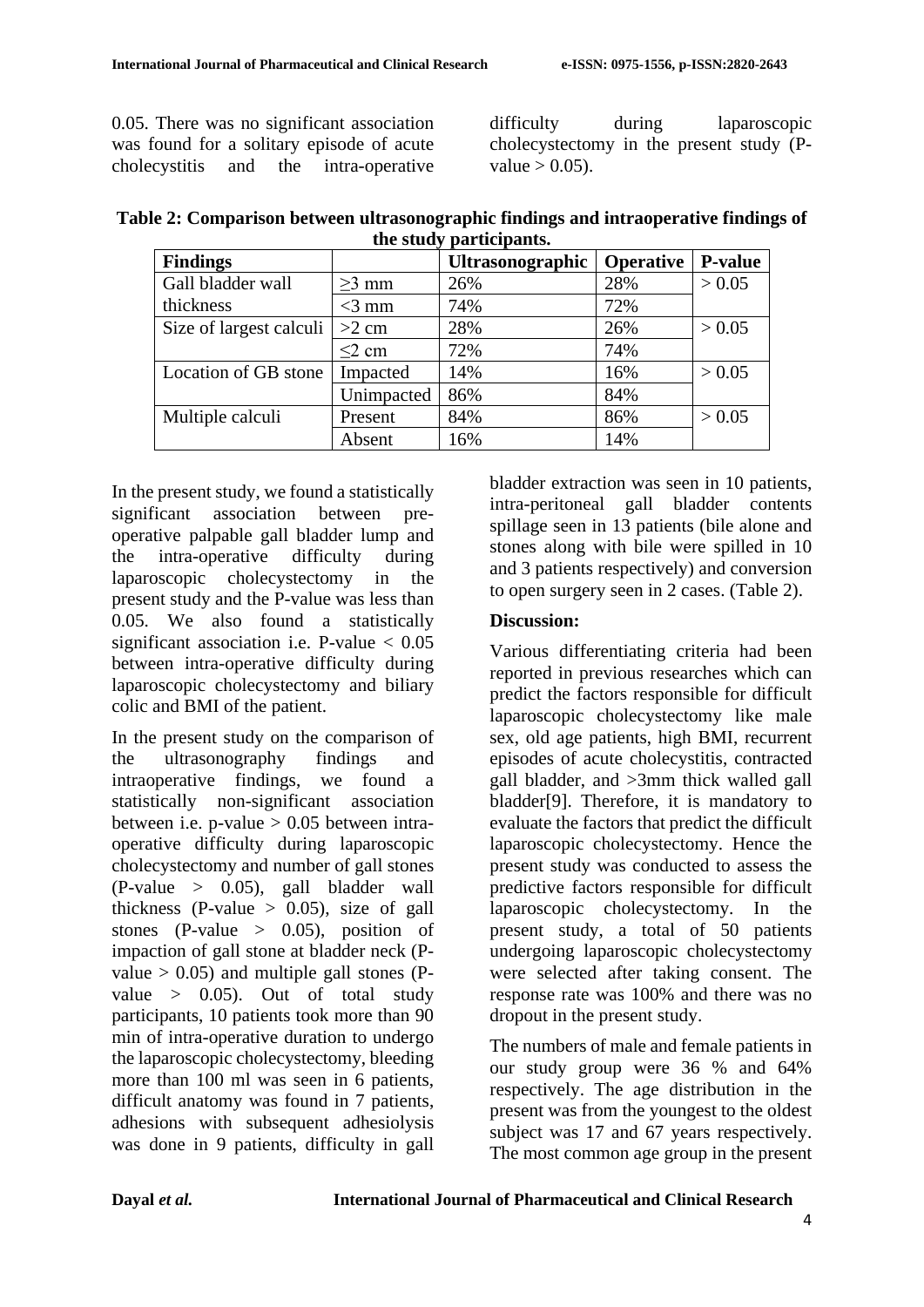0.05. There was no significant association was found for a solitary episode of acute cholecystitis and the intra-operative difficulty during laparoscopic cholecystectomy in the present study (Pvalue  $> 0.05$ ).

| Table 2: Comparison between ultrasonographic findings and intraoperative findings of |  |
|--------------------------------------------------------------------------------------|--|
| the study participants.                                                              |  |

| <b>Findings</b>         |             | <b>Ultrasonographic</b> | <b>Operative</b> | <b>P-value</b> |
|-------------------------|-------------|-------------------------|------------------|----------------|
| Gall bladder wall       | $\geq$ 3 mm | 26%                     | 28%              | > 0.05         |
| thickness               | $<$ 3 mm    | 74%                     | 72%              |                |
| Size of largest calculi | $>2$ cm     | 28%                     | 26%              | > 0.05         |
|                         | $<$ 2 cm    | 72%                     | 74%              |                |
| Location of GB stone    | Impacted    | 14%                     | 16%              | > 0.05         |
|                         | Unimpacted  | 86%                     | 84%              |                |
| Multiple calculi        | Present     | 84%                     | 86%              | > 0.05         |
|                         | Absent      | 16%                     | 14%              |                |

In the present study, we found a statistically significant association between preoperative palpable gall bladder lump and the intra-operative difficulty during laparoscopic cholecystectomy in the present study and the P-value was less than 0.05. We also found a statistically significant association i.e. P-value  $< 0.05$ between intra-operative difficulty during laparoscopic cholecystectomy and biliary colic and BMI of the patient.

In the present study on the comparison of the ultrasonography findings and intraoperative findings, we found a statistically non-significant association between i.e. p-value  $> 0.05$  between intraoperative difficulty during laparoscopic cholecystectomy and number of gall stones (P-value > 0.05), gall bladder wall thickness (P-value  $> 0.05$ ), size of gall stones (P-value  $> 0.05$ ), position of impaction of gall stone at bladder neck (Pvalue  $> 0.05$ ) and multiple gall stones (Pvalue > 0.05). Out of total study participants, 10 patients took more than 90 min of intra-operative duration to undergo the laparoscopic cholecystectomy, bleeding more than 100 ml was seen in 6 patients, difficult anatomy was found in 7 patients, adhesions with subsequent adhesiolysis was done in 9 patients, difficulty in gall bladder extraction was seen in 10 patients, intra-peritoneal gall bladder contents spillage seen in 13 patients (bile alone and stones along with bile were spilled in 10 and 3 patients respectively) and conversion to open surgery seen in 2 cases. (Table 2).

### **Discussion:**

Various differentiating criteria had been reported in previous researches which can predict the factors responsible for difficult laparoscopic cholecystectomy like male sex, old age patients, high BMI, recurrent episodes of acute cholecystitis, contracted gall bladder, and >3mm thick walled gall bladder[9]. Therefore, it is mandatory to evaluate the factors that predict the difficult laparoscopic cholecystectomy. Hence the present study was conducted to assess the predictive factors responsible for difficult laparoscopic cholecystectomy. In the present study, a total of 50 patients undergoing laparoscopic cholecystectomy were selected after taking consent. The response rate was 100% and there was no dropout in the present study.

The numbers of male and female patients in our study group were 36 % and 64% respectively. The age distribution in the present was from the youngest to the oldest subject was 17 and 67 years respectively. The most common age group in the present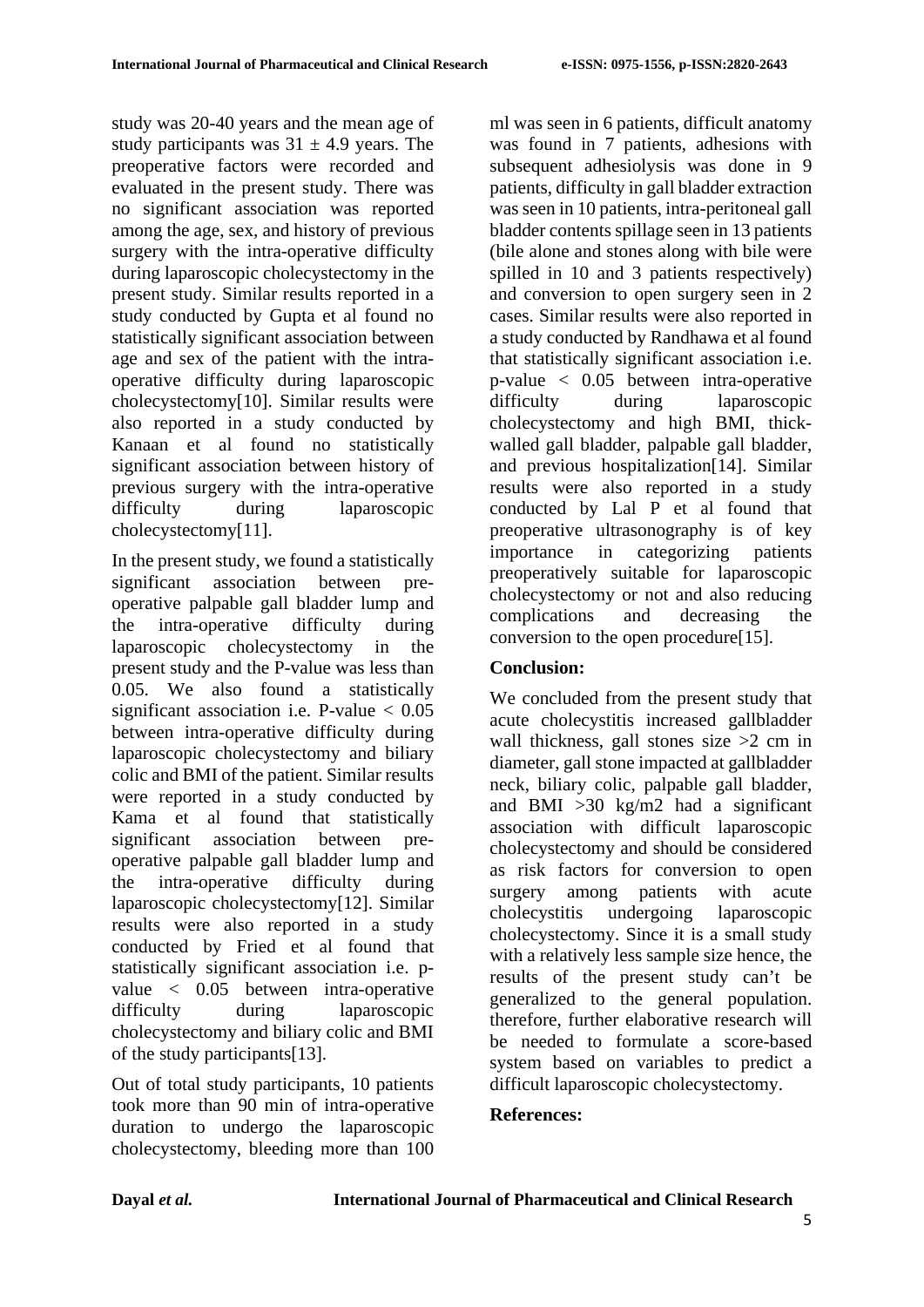study was 20-40 years and the mean age of study participants was  $31 \pm 4.9$  years. The preoperative factors were recorded and evaluated in the present study. There was no significant association was reported among the age, sex, and history of previous surgery with the intra-operative difficulty during laparoscopic cholecystectomy in the present study. Similar results reported in a study conducted by Gupta et al found no statistically significant association between age and sex of the patient with the intraoperative difficulty during laparoscopic cholecystectomy[10]. Similar results were also reported in a study conducted by Kanaan et al found no statistically significant association between history of previous surgery with the intra-operative difficulty during laparoscopic cholecystectomy[11].

In the present study, we found a statistically significant association between preoperative palpable gall bladder lump and the intra-operative difficulty during laparoscopic cholecystectomy in the present study and the P-value was less than 0.05. We also found a statistically significant association i.e. P-value  $< 0.05$ between intra-operative difficulty during laparoscopic cholecystectomy and biliary colic and BMI of the patient. Similar results were reported in a study conducted by Kama et al found that statistically significant association between preoperative palpable gall bladder lump and the intra-operative difficulty during laparoscopic cholecystectomy[12]. Similar results were also reported in a study conducted by Fried et al found that statistically significant association i.e. pvalue < 0.05 between intra-operative difficulty during laparoscopic cholecystectomy and biliary colic and BMI of the study participants[13].

Out of total study participants, 10 patients took more than 90 min of intra-operative duration to undergo the laparoscopic cholecystectomy, bleeding more than 100 ml was seen in 6 patients, difficult anatomy was found in 7 patients, adhesions with subsequent adhesiolysis was done in 9 patients, difficulty in gall bladder extraction was seen in 10 patients, intra-peritoneal gall bladder contents spillage seen in 13 patients (bile alone and stones along with bile were spilled in 10 and 3 patients respectively) and conversion to open surgery seen in 2 cases. Similar results were also reported in a study conducted by Randhawa et al found that statistically significant association i.e. p-value < 0.05 between intra-operative difficulty during laparoscopic cholecystectomy and high BMI, thickwalled gall bladder, palpable gall bladder, and previous hospitalization[14]. Similar results were also reported in a study conducted by Lal P et al found that preoperative ultrasonography is of key importance in categorizing patients preoperatively suitable for laparoscopic cholecystectomy or not and also reducing complications and decreasing the conversion to the open procedure[15].

# **Conclusion:**

We concluded from the present study that acute cholecystitis increased gallbladder wall thickness, gall stones size  $>2$  cm in diameter, gall stone impacted at gallbladder neck, biliary colic, palpable gall bladder, and BMI  $>30$  kg/m2 had a significant association with difficult laparoscopic cholecystectomy and should be considered as risk factors for conversion to open surgery among patients with acute cholecystitis undergoing laparoscopic cholecystectomy. Since it is a small study with a relatively less sample size hence, the results of the present study can't be generalized to the general population. therefore, further elaborative research will be needed to formulate a score-based system based on variables to predict a difficult laparoscopic cholecystectomy.

# **References:**